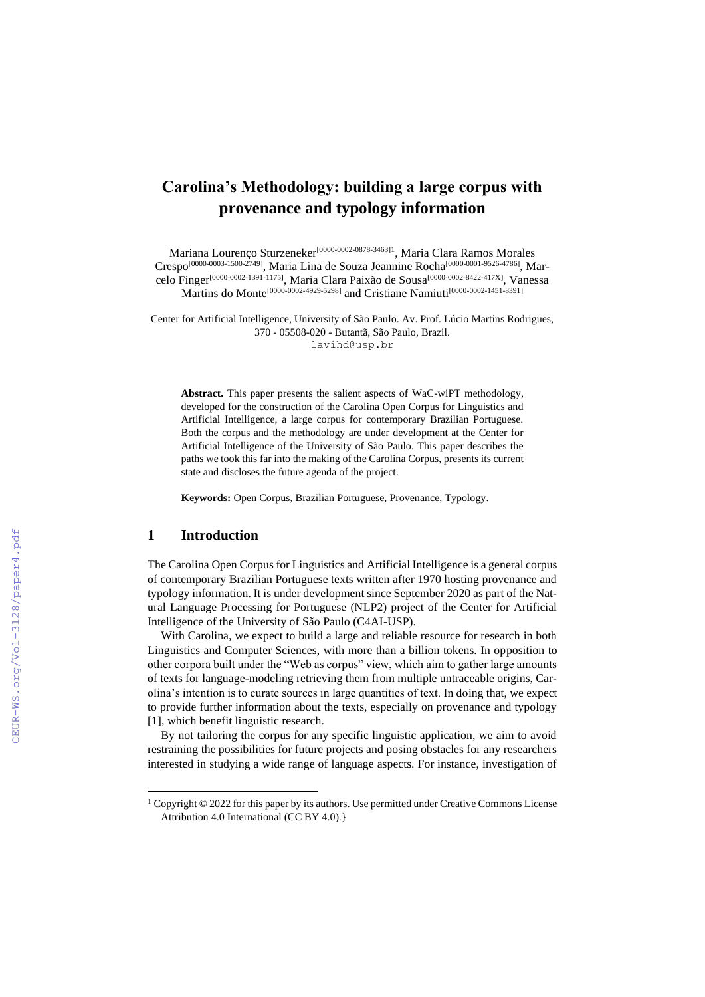# **Carolina's Methodology: building a large corpus with provenance and typology information**

Mariana Lourenço Sturzeneker<sup>[0000-0002-0878-3463]1</sup>, Maria Clara Ramos Morales Crespo<sup>[0000-0003-1500-2749]</sup>, Maria Lina de Souza Jeannine Rocha<sup>[0000-0001-9526-4786]</sup>, Marcelo Finger<sup>[0000-0002-1391-1175]</sup>, Maria Clara Paixão de Sousa<sup>[0000-0002-8422-417X]</sup>, Vanessa Martins do Monte<sup>[0000-0002-4929-5298]</sup> and Cristiane Namiuti<sup>[0000-0002-1451-8391]</sup>

Center for Artificial Intelligence, University of São Paulo. Av. Prof. Lúcio Martins Rodrigues, 370 - 05508-020 - Butantã, São Paulo, Brazil. lavihd@usp.br

**Abstract.** This paper presents the salient aspects of WaC-wiPT methodology, developed for the construction of the Carolina Open Corpus for Linguistics and Artificial Intelligence, a large corpus for contemporary Brazilian Portuguese. Both the corpus and the methodology are under development at the Center for Artificial Intelligence of the University of São Paulo. This paper describes the paths we took this far into the making of the Carolina Corpus, presents its current state and discloses the future agenda of the project.

**Keywords:** Open Corpus, Brazilian Portuguese, Provenance, Typology.

#### **1 Introduction**

The Carolina Open Corpus for Linguistics and Artificial Intelligence is a general corpus of contemporary Brazilian Portuguese texts written after 1970 hosting provenance and typology information. It is under development since September 2020 as part of the Natural Language Processing for Portuguese (NLP2) project of the Center for Artificial Intelligence of the University of São Paulo (C4AI-USP).

With Carolina, we expect to build a large and reliable resource for research in both Linguistics and Computer Sciences, with more than a billion tokens. In opposition to other corpora built under the "Web as corpus" view, which aim to gather large amounts of texts for language-modeling retrieving them from multiple untraceable origins, Carolina's intention is to curate sources in large quantities of text. In doing that, we expect to provide further information about the texts, especially on provenance and typology [1], which benefit linguistic research.

By not tailoring the corpus for any specific linguistic application, we aim to avoid restraining the possibilities for future projects and posing obstacles for any researchers interested in studying a wide range of language aspects. For instance, investigation of

 $1$  Copyright  $\odot$  2022 for this paper by its authors. Use permitted under Creative Commons License Attribution 4.0 International (CC BY 4.0).}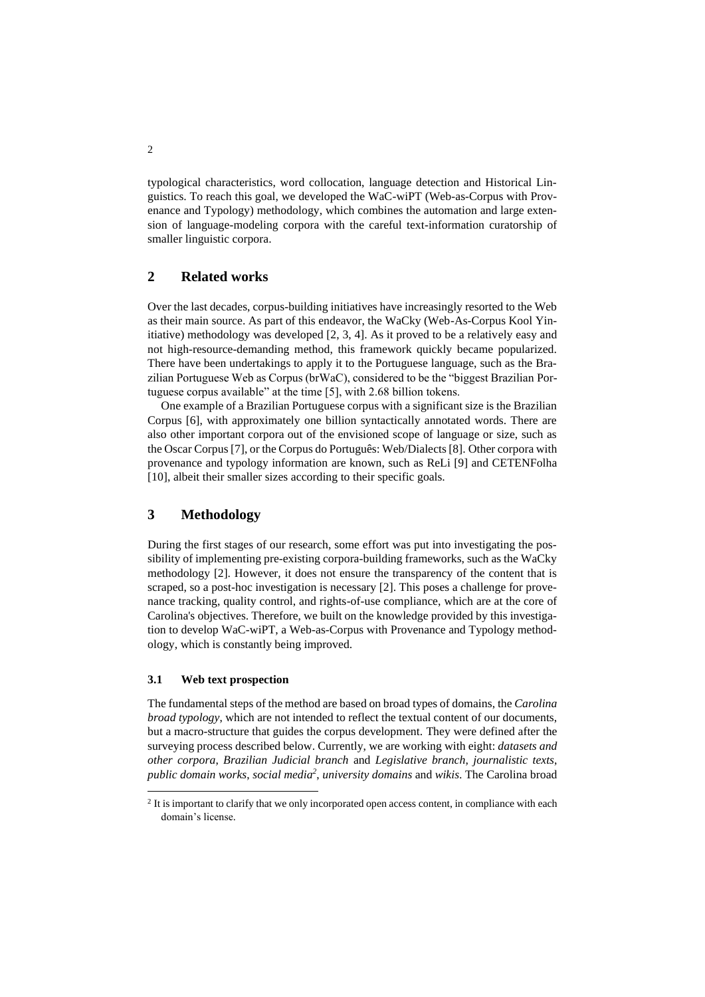typological characteristics, word collocation, language detection and Historical Linguistics. To reach this goal, we developed the WaC-wiPT (Web-as-Corpus with Provenance and Typology) methodology, which combines the automation and large extension of language-modeling corpora with the careful text-information curatorship of smaller linguistic corpora.

## **2 Related works**

Over the last decades, corpus-building initiatives have increasingly resorted to the Web as their main source. As part of this endeavor, the WaCky (Web-As-Corpus Kool Yinitiative) methodology was developed [2, 3, 4]. As it proved to be a relatively easy and not high-resource-demanding method, this framework quickly became popularized. There have been undertakings to apply it to the Portuguese language, such as the Brazilian Portuguese Web as Corpus (brWaC), considered to be the "biggest Brazilian Portuguese corpus available" at the time [5], with 2.68 billion tokens.

One example of a Brazilian Portuguese corpus with a significant size is the Brazilian Corpus [6], with approximately one billion syntactically annotated words. There are also other important corpora out of the envisioned scope of language or size, such as the Oscar Corpus [7], or the Corpus do Português: Web/Dialects [8]. Other corpora with provenance and typology information are known, such as ReLi [9] and CETENFolha [10], albeit their smaller sizes according to their specific goals.

## **3 Methodology**

During the first stages of our research, some effort was put into investigating the possibility of implementing pre-existing corpora-building frameworks, such as the WaCky methodology [2]. However, it does not ensure the transparency of the content that is scraped, so a post-hoc investigation is necessary [2]. This poses a challenge for provenance tracking, quality control, and rights-of-use compliance, which are at the core of Carolina's objectives. Therefore, we built on the knowledge provided by this investigation to develop WaC-wiPT, a Web-as-Corpus with Provenance and Typology methodology, which is constantly being improved.

#### **3.1 Web text prospection**

The fundamental steps of the method are based on broad types of domains, the *Carolina broad typology*, which are not intended to reflect the textual content of our documents, but a macro-structure that guides the corpus development. They were defined after the surveying process described below. Currently, we are working with eight: *datasets and other corpora*, *Brazilian Judicial branch* and *Legislative branch*, *journalistic texts*, *public domain works*, *social media<sup>2</sup>* , *university domains* and *wikis*. The Carolina broad

 $2$  It is important to clarify that we only incorporated open access content, in compliance with each domain's license.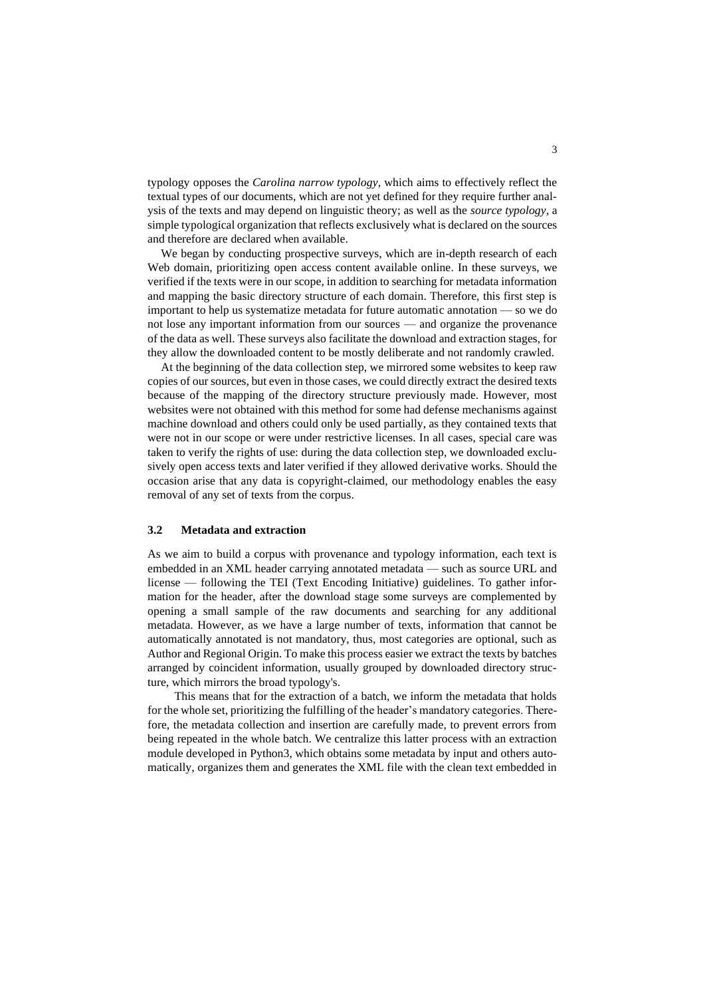typology opposes the *Carolina narrow typology*, which aims to effectively reflect the textual types of our documents, which are not yet defined for they require further analysis of the texts and may depend on linguistic theory; as well as the *source typology*, a simple typological organization that reflects exclusively what is declared on the sources and therefore are declared when available.

We began by conducting prospective surveys, which are in-depth research of each Web domain, prioritizing open access content available online. In these surveys, we verified if the texts were in our scope, in addition to searching for metadata information and mapping the basic directory structure of each domain. Therefore, this first step is important to help us systematize metadata for future automatic annotation — so we do not lose any important information from our sources — and organize the provenance of the data as well. These surveys also facilitate the download and extraction stages, for they allow the downloaded content to be mostly deliberate and not randomly crawled.

At the beginning of the data collection step, we mirrored some websites to keep raw copies of our sources, but even in those cases, we could directly extract the desired texts because of the mapping of the directory structure previously made. However, most websites were not obtained with this method for some had defense mechanisms against machine download and others could only be used partially, as they contained texts that were not in our scope or were under restrictive licenses. In all cases, special care was taken to verify the rights of use: during the data collection step, we downloaded exclusively open access texts and later verified if they allowed derivative works. Should the occasion arise that any data is copyright-claimed, our methodology enables the easy removal of any set of texts from the corpus.

#### **3.2 Metadata and extraction**

As we aim to build a corpus with provenance and typology information, each text is embedded in an XML header carrying annotated metadata — such as source URL and license — following the TEI (Text Encoding Initiative) guidelines. To gather information for the header, after the download stage some surveys are complemented by opening a small sample of the raw documents and searching for any additional metadata. However, as we have a large number of texts, information that cannot be automatically annotated is not mandatory, thus, most categories are optional, such as Author and Regional Origin. To make this process easier we extract the texts by batches arranged by coincident information, usually grouped by downloaded directory structure, which mirrors the broad typology's.

This means that for the extraction of a batch, we inform the metadata that holds for the whole set, prioritizing the fulfilling of the header's mandatory categories. Therefore, the metadata collection and insertion are carefully made, to prevent errors from being repeated in the whole batch. We centralize this latter process with an extraction module developed in Python3, which obtains some metadata by input and others automatically, organizes them and generates the XML file with the clean text embedded in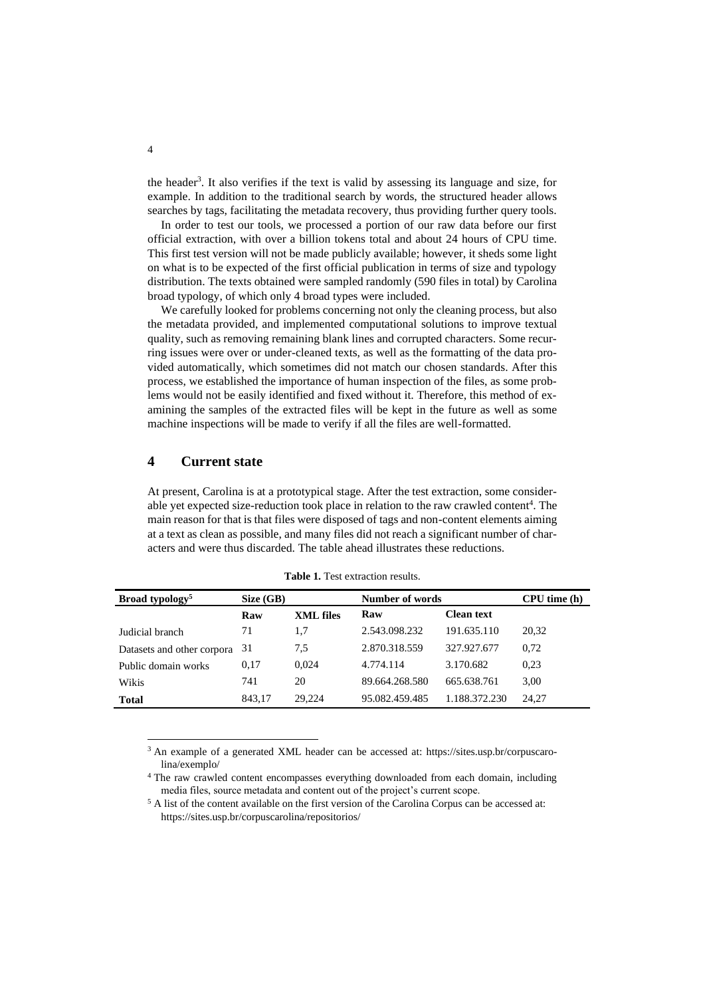the header<sup>3</sup>. It also verifies if the text is valid by assessing its language and size, for example. In addition to the traditional search by words, the structured header allows searches by tags, facilitating the metadata recovery, thus providing further query tools.

In order to test our tools, we processed a portion of our raw data before our first official extraction, with over a billion tokens total and about 24 hours of CPU time. This first test version will not be made publicly available; however, it sheds some light on what is to be expected of the first official publication in terms of size and typology distribution. The texts obtained were sampled randomly (590 files in total) by Carolina broad typology, of which only 4 broad types were included.

We carefully looked for problems concerning not only the cleaning process, but also the metadata provided, and implemented computational solutions to improve textual quality, such as removing remaining blank lines and corrupted characters. Some recurring issues were over or under-cleaned texts, as well as the formatting of the data provided automatically, which sometimes did not match our chosen standards. After this process, we established the importance of human inspection of the files, as some problems would not be easily identified and fixed without it. Therefore, this method of examining the samples of the extracted files will be kept in the future as well as some machine inspections will be made to verify if all the files are well-formatted.

### **4 Current state**

At present, Carolina is at a prototypical stage. After the test extraction, some considerable yet expected size-reduction took place in relation to the raw crawled content<sup>4</sup>. The main reason for that is that files were disposed of tags and non-content elements aiming at a text as clean as possible, and many files did not reach a significant number of characters and were thus discarded. The table ahead illustrates these reductions.

| Broad typology <sup>5</sup> | Size(GB) |           | Number of words |                   | CPU time (h) |
|-----------------------------|----------|-----------|-----------------|-------------------|--------------|
|                             | Raw      | XML files | Raw             | <b>Clean text</b> |              |
| Judicial branch             | 71       | 1,7       | 2.543.098.232   | 191.635.110       | 20,32        |
| Datasets and other corpora  | 31       | 7.5       | 2.870.318.559   | 327.927.677       | 0,72         |
| Public domain works         | 0.17     | 0.024     | 4.774.114       | 3.170.682         | 0.23         |
| Wikis                       | 741      | 20        | 89.664.268.580  | 665.638.761       | 3,00         |
| <b>Total</b>                | 843.17   | 29,224    | 95.082.459.485  | 1.188.372.230     | 24.27        |

**Table 1.** Test extraction results.

<sup>3</sup> An example of a generated XML header can be accessed at: [https://sites.usp.br/corpuscaro](https://sites.usp.br/corpuscarolina/exemplo/)[lina/exemplo/](https://sites.usp.br/corpuscarolina/exemplo/)

<sup>4</sup> The raw crawled content encompasses everything downloaded from each domain, including media files, source metadata and content out of the project's current scope.

<sup>5</sup> A list of the content available on the first version of the Carolina Corpus can be accessed at: <https://sites.usp.br/corpuscarolina/repositorios/>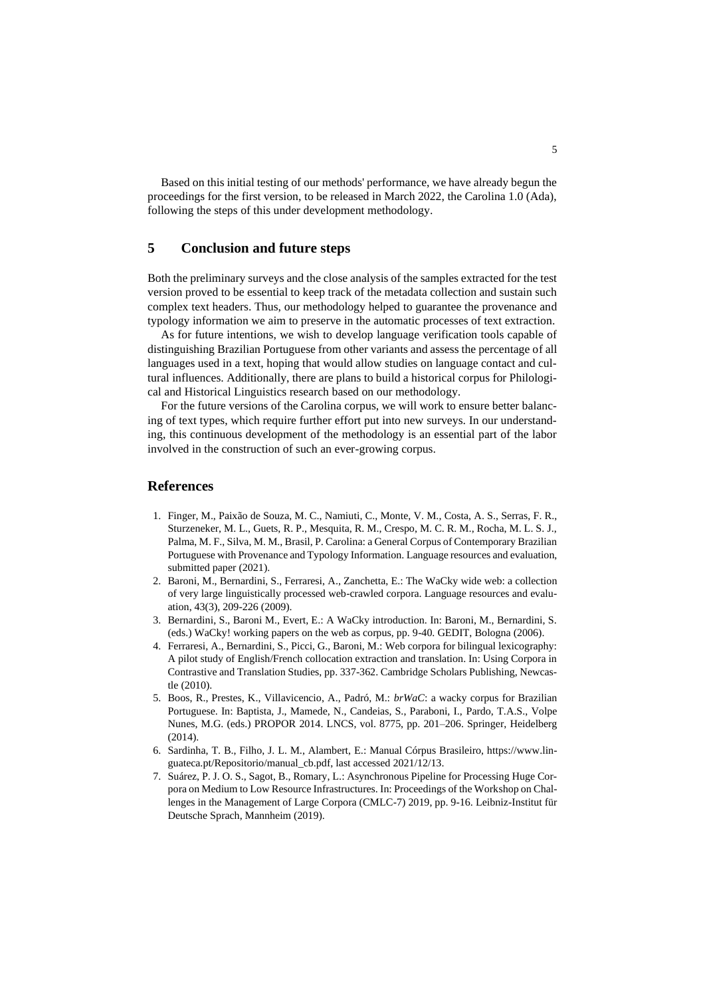Based on this initial testing of our methods' performance, we have already begun the proceedings for the first version, to be released in March 2022, the Carolina 1.0 (Ada), following the steps of this under development methodology.

## **5 Conclusion and future steps**

Both the preliminary surveys and the close analysis of the samples extracted for the test version proved to be essential to keep track of the metadata collection and sustain such complex text headers. Thus, our methodology helped to guarantee the provenance and typology information we aim to preserve in the automatic processes of text extraction.

As for future intentions, we wish to develop language verification tools capable of distinguishing Brazilian Portuguese from other variants and assess the percentage of all languages used in a text, hoping that would allow studies on language contact and cultural influences. Additionally, there are plans to build a historical corpus for Philological and Historical Linguistics research based on our methodology.

For the future versions of the Carolina corpus, we will work to ensure better balancing of text types, which require further effort put into new surveys. In our understanding, this continuous development of the methodology is an essential part of the labor involved in the construction of such an ever-growing corpus.

### **References**

- 1. Finger, M., Paixão de Souza, M. C., Namiuti, C., Monte, V. M., Costa, A. S., Serras, F. R., Sturzeneker, M. L., Guets, R. P., Mesquita, R. M., Crespo, M. C. R. M., Rocha, M. L. S. J., Palma, M. F., Silva, M. M., Brasil, P. Carolina: a General Corpus of Contemporary Brazilian Portuguese with Provenance and Typology Information. Language resources and evaluation, submitted paper (2021).
- 2. Baroni, M., Bernardini, S., Ferraresi, A., Zanchetta, E.: The WaCky wide web: a collection of very large linguistically processed web-crawled corpora. Language resources and evaluation, 43(3), 209-226 (2009).
- 3. Bernardini, S., Baroni M., Evert, E.: A WaCky introduction. In: Baroni, M., Bernardini, S. (eds.) WaCky! working papers on the web as corpus, pp. 9-40. GEDIT, Bologna (2006).
- 4. Ferraresi, A., Bernardini, S., Picci, G., Baroni, M.: Web corpora for bilingual lexicography: A pilot study of English/French collocation extraction and translation. In: Using Corpora in Contrastive and Translation Studies, pp. 337-362. Cambridge Scholars Publishing, Newcastle (2010).
- 5. Boos, R., Prestes, K., Villavicencio, A., Padró, M.: *brWaC*: a wacky corpus for Brazilian Portuguese. In: Baptista, J., Mamede, N., Candeias, S., Paraboni, I., Pardo, T.A.S., Volpe Nunes, M.G. (eds.) PROPOR 2014. LNCS, vol. 8775, pp. 201–206. Springer, Heidelberg (2014).
- 6. Sardinha, T. B., Filho, J. L. M., Alambert, E.: Manual Córpus Brasileiro, https://www.linguateca.pt/Repositorio/manual\_cb.pdf, last accessed 2021/12/13.
- 7. Suárez, P. J. O. S., Sagot, B., Romary, L.: Asynchronous Pipeline for Processing Huge Corpora on Medium to Low Resource Infrastructures. In: Proceedings of the Workshop on Challenges in the Management of Large Corpora (CMLC-7) 2019, pp. 9-16. Leibniz-Institut für Deutsche Sprach, Mannheim (2019).